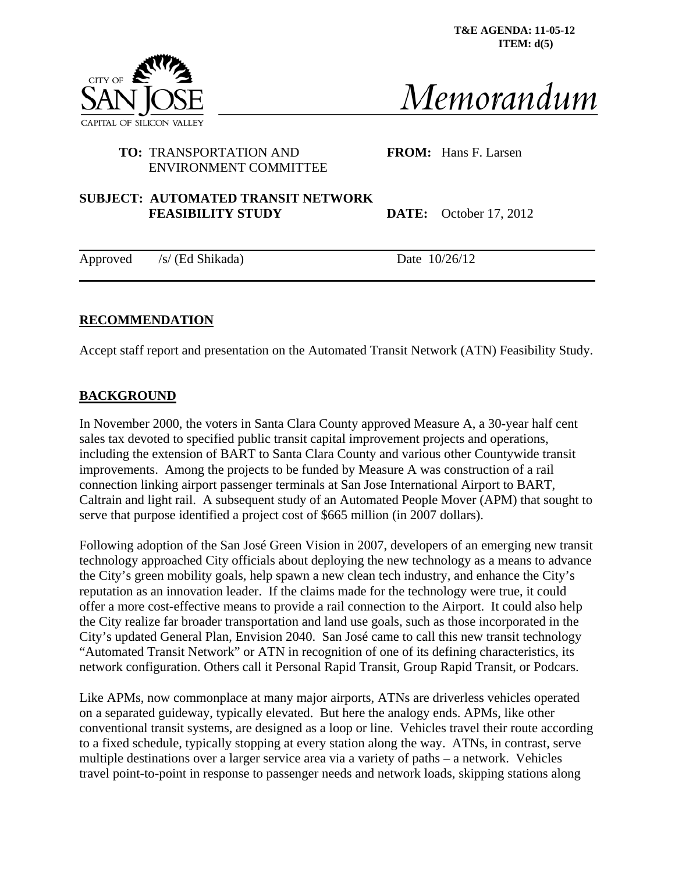**T&E AGENDA: 11-05-12 ITEM: d(5)**



Memorandum

# **TO:** TRANSPORTATION AND **FROM:** Hans F. Larsen ENVIRONMENT COMMITTEE

### **SUBJECT: AUTOMATED TRANSIT NETWORK FEASIBILITY STUDY** DATE: October 17, 2012

Approved /s/ (Ed Shikada) Date 10/26/12

# **RECOMMENDATION**

Accept staff report and presentation on the Automated Transit Network (ATN) Feasibility Study.

## **BACKGROUND**

In November 2000, the voters in Santa Clara County approved Measure A, a 30-year half cent sales tax devoted to specified public transit capital improvement projects and operations, including the extension of BART to Santa Clara County and various other Countywide transit improvements. Among the projects to be funded by Measure A was construction of a rail connection linking airport passenger terminals at San Jose International Airport to BART, Caltrain and light rail. A subsequent study of an Automated People Mover (APM) that sought to serve that purpose identified a project cost of \$665 million (in 2007 dollars).

Following adoption of the San José Green Vision in 2007, developers of an emerging new transit technology approached City officials about deploying the new technology as a means to advance the City's green mobility goals, help spawn a new clean tech industry, and enhance the City's reputation as an innovation leader. If the claims made for the technology were true, it could offer a more cost-effective means to provide a rail connection to the Airport. It could also help the City realize far broader transportation and land use goals, such as those incorporated in the City's updated General Plan, Envision 2040. San José came to call this new transit technology "Automated Transit Network" or ATN in recognition of one of its defining characteristics, its network configuration. Others call it Personal Rapid Transit, Group Rapid Transit, or Podcars.

Like APMs, now commonplace at many major airports, ATNs are driverless vehicles operated on a separated guideway, typically elevated. But here the analogy ends. APMs, like other conventional transit systems, are designed as a loop or line. Vehicles travel their route according to a fixed schedule, typically stopping at every station along the way. ATNs, in contrast, serve multiple destinations over a larger service area via a variety of paths – a network. Vehicles travel point-to-point in response to passenger needs and network loads, skipping stations along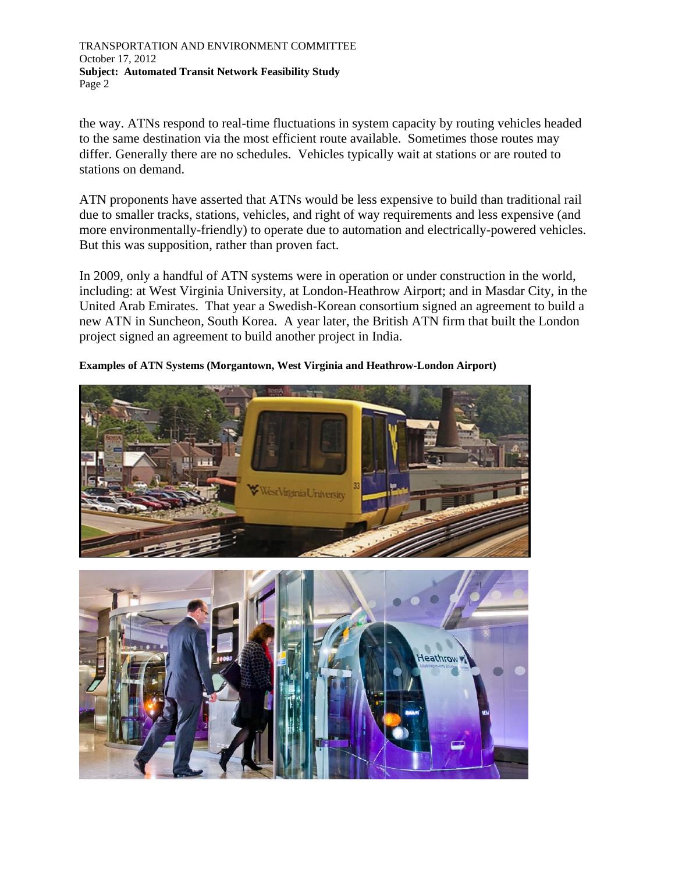the way. ATNs respond to real-time fluctuations in system capacity by routing vehicles headed to the same destination via the most efficient route available. Sometimes those routes may differ. Generally there are no schedules. Vehicles typically wait at stations or are routed to stations on demand.

ATN proponents have asserted that ATNs would be less expensive to build than traditional rail due to smaller tracks, stations, vehicles, and right of way requirements and less expensive (and more environmentally-friendly) to operate due to automation and electrically-powered vehicles. But this was supposition, rather than proven fact.

In 2009, only a handful of ATN systems were in operation or under construction in the world, including: at West Virginia University, at London-Heathrow Airport; and in Masdar City, in the United Arab Emirates. That year a Swedish-Korean consortium signed an agreement to build a new ATN in Suncheon, South Korea. A year later, the British ATN firm that built the London project signed an agreement to build another project in India.

**Examples of ATN Systems (Morgantown, West Virginia and Heathrow-London Airport)** 

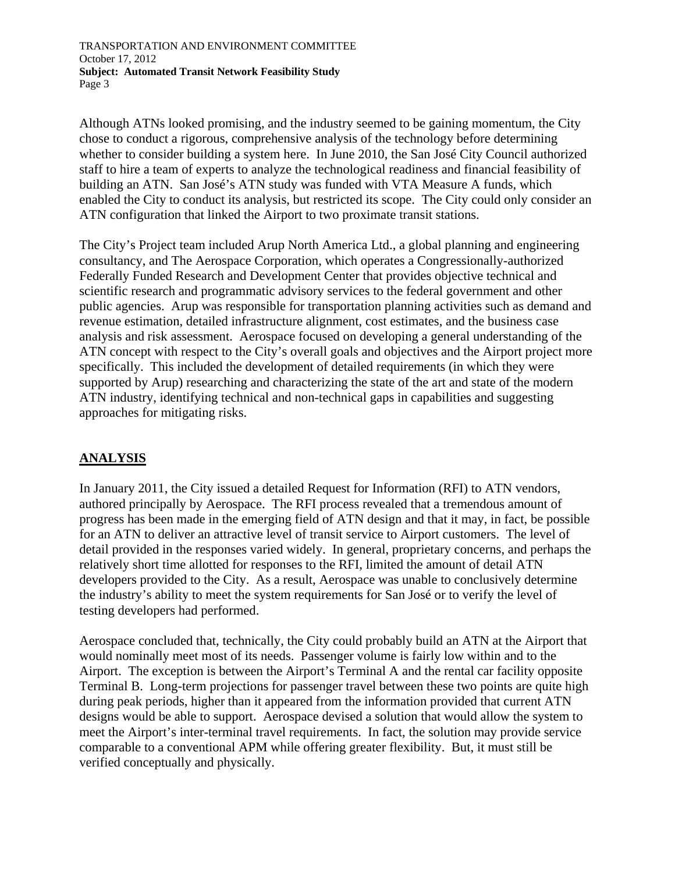Although ATNs looked promising, and the industry seemed to be gaining momentum, the City chose to conduct a rigorous, comprehensive analysis of the technology before determining whether to consider building a system here. In June 2010, the San José City Council authorized staff to hire a team of experts to analyze the technological readiness and financial feasibility of building an ATN. San José's ATN study was funded with VTA Measure A funds, which enabled the City to conduct its analysis, but restricted its scope. The City could only consider an ATN configuration that linked the Airport to two proximate transit stations.

The City's Project team included Arup North America Ltd., a global planning and engineering consultancy, and The Aerospace Corporation, which operates a Congressionally-authorized Federally Funded Research and Development Center that provides objective technical and scientific research and programmatic advisory services to the federal government and other public agencies. Arup was responsible for transportation planning activities such as demand and revenue estimation, detailed infrastructure alignment, cost estimates, and the business case analysis and risk assessment. Aerospace focused on developing a general understanding of the ATN concept with respect to the City's overall goals and objectives and the Airport project more specifically. This included the development of detailed requirements (in which they were supported by Arup) researching and characterizing the state of the art and state of the modern ATN industry, identifying technical and non-technical gaps in capabilities and suggesting approaches for mitigating risks.

## **ANALYSIS**

In January 2011, the City issued a detailed Request for Information (RFI) to ATN vendors, authored principally by Aerospace. The RFI process revealed that a tremendous amount of progress has been made in the emerging field of ATN design and that it may, in fact, be possible for an ATN to deliver an attractive level of transit service to Airport customers. The level of detail provided in the responses varied widely. In general, proprietary concerns, and perhaps the relatively short time allotted for responses to the RFI, limited the amount of detail ATN developers provided to the City. As a result, Aerospace was unable to conclusively determine the industry's ability to meet the system requirements for San José or to verify the level of testing developers had performed.

Aerospace concluded that, technically, the City could probably build an ATN at the Airport that would nominally meet most of its needs. Passenger volume is fairly low within and to the Airport. The exception is between the Airport's Terminal A and the rental car facility opposite Terminal B. Long-term projections for passenger travel between these two points are quite high during peak periods, higher than it appeared from the information provided that current ATN designs would be able to support. Aerospace devised a solution that would allow the system to meet the Airport's inter-terminal travel requirements. In fact, the solution may provide service comparable to a conventional APM while offering greater flexibility. But, it must still be verified conceptually and physically.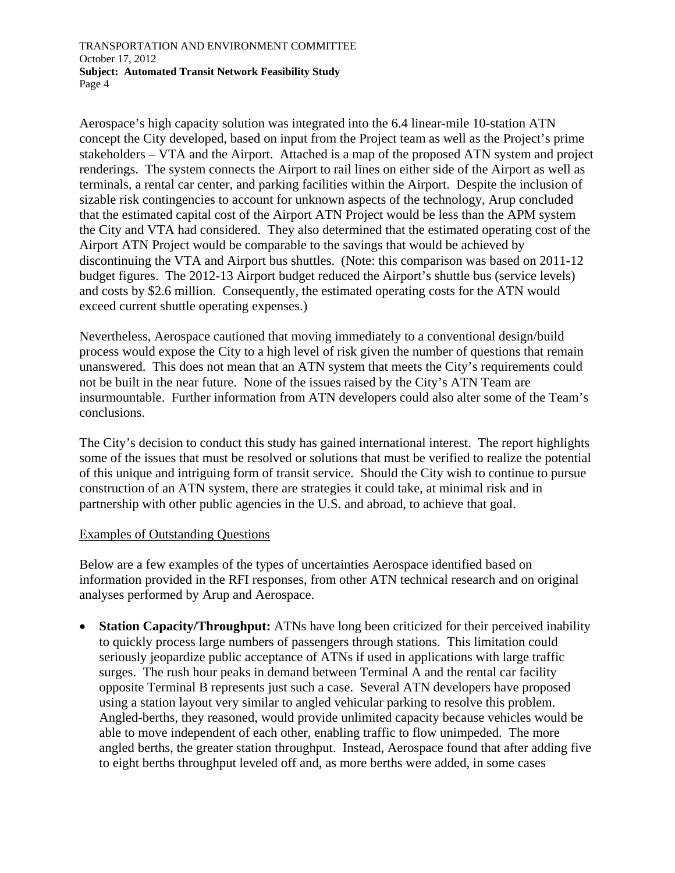Aerospace's high capacity solution was integrated into the 6.4 linear-mile 10-station ATN concept the City developed, based on input from the Project team as well as the Project's prime stakeholders – VTA and the Airport. Attached is a map of the proposed ATN system and project renderings. The system connects the Airport to rail lines on either side of the Airport as well as terminals, a rental car center, and parking facilities within the Airport. Despite the inclusion of sizable risk contingencies to account for unknown aspects of the technology, Arup concluded that the estimated capital cost of the Airport ATN Project would be less than the APM system the City and VTA had considered. They also determined that the estimated operating cost of the Airport ATN Project would be comparable to the savings that would be achieved by discontinuing the VTA and Airport bus shuttles. (Note: this comparison was based on 2011-12 budget figures. The 2012-13 Airport budget reduced the Airport's shuttle bus (service levels) and costs by \$2.6 million. Consequently, the estimated operating costs for the ATN would exceed current shuttle operating expenses.)

Nevertheless, Aerospace cautioned that moving immediately to a conventional design/build process would expose the City to a high level of risk given the number of questions that remain unanswered. This does not mean that an ATN system that meets the City's requirements could not be built in the near future. None of the issues raised by the City's ATN Team are insurmountable. Further information from ATN developers could also alter some of the Team's conclusions.

The City's decision to conduct this study has gained international interest. The report highlights some of the issues that must be resolved or solutions that must be verified to realize the potential of this unique and intriguing form of transit service. Should the City wish to continue to pursue construction of an ATN system, there are strategies it could take, at minimal risk and in partnership with other public agencies in the U.S. and abroad, to achieve that goal.

### Examples of Outstanding Questions

Below are a few examples of the types of uncertainties Aerospace identified based on information provided in the RFI responses, from other ATN technical research and on original analyses performed by Arup and Aerospace.

**Station Capacity/Throughput:** ATNs have long been criticized for their perceived inability to quickly process large numbers of passengers through stations. This limitation could seriously jeopardize public acceptance of ATNs if used in applications with large traffic surges. The rush hour peaks in demand between Terminal A and the rental car facility opposite Terminal B represents just such a case. Several ATN developers have proposed using a station layout very similar to angled vehicular parking to resolve this problem. Angled-berths, they reasoned, would provide unlimited capacity because vehicles would be able to move independent of each other, enabling traffic to flow unimpeded. The more angled berths, the greater station throughput. Instead, Aerospace found that after adding five to eight berths throughput leveled off and, as more berths were added, in some cases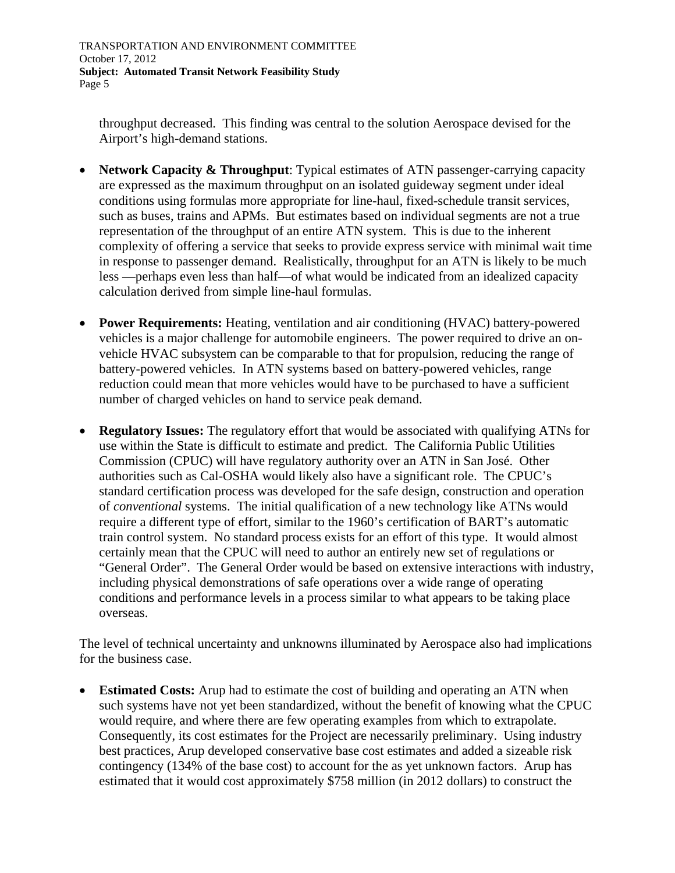throughput decreased. This finding was central to the solution Aerospace devised for the Airport's high-demand stations.

- **Network Capacity & Throughput**: Typical estimates of ATN passenger-carrying capacity are expressed as the maximum throughput on an isolated guideway segment under ideal conditions using formulas more appropriate for line-haul, fixed-schedule transit services, such as buses, trains and APMs. But estimates based on individual segments are not a true representation of the throughput of an entire ATN system. This is due to the inherent complexity of offering a service that seeks to provide express service with minimal wait time in response to passenger demand. Realistically, throughput for an ATN is likely to be much less —perhaps even less than half—of what would be indicated from an idealized capacity calculation derived from simple line-haul formulas.
- **Power Requirements:** Heating, ventilation and air conditioning (HVAC) battery-powered vehicles is a major challenge for automobile engineers. The power required to drive an onvehicle HVAC subsystem can be comparable to that for propulsion, reducing the range of battery-powered vehicles. In ATN systems based on battery-powered vehicles, range reduction could mean that more vehicles would have to be purchased to have a sufficient number of charged vehicles on hand to service peak demand.
- **Regulatory Issues:** The regulatory effort that would be associated with qualifying ATNs for use within the State is difficult to estimate and predict. The California Public Utilities Commission (CPUC) will have regulatory authority over an ATN in San José. Other authorities such as Cal-OSHA would likely also have a significant role. The CPUC's standard certification process was developed for the safe design, construction and operation of *conventional* systems. The initial qualification of a new technology like ATNs would require a different type of effort, similar to the 1960's certification of BART's automatic train control system. No standard process exists for an effort of this type. It would almost certainly mean that the CPUC will need to author an entirely new set of regulations or "General Order". The General Order would be based on extensive interactions with industry, including physical demonstrations of safe operations over a wide range of operating conditions and performance levels in a process similar to what appears to be taking place overseas.

The level of technical uncertainty and unknowns illuminated by Aerospace also had implications for the business case.

 **Estimated Costs:** Arup had to estimate the cost of building and operating an ATN when such systems have not yet been standardized, without the benefit of knowing what the CPUC would require, and where there are few operating examples from which to extrapolate. Consequently, its cost estimates for the Project are necessarily preliminary. Using industry best practices, Arup developed conservative base cost estimates and added a sizeable risk contingency (134% of the base cost) to account for the as yet unknown factors. Arup has estimated that it would cost approximately \$758 million (in 2012 dollars) to construct the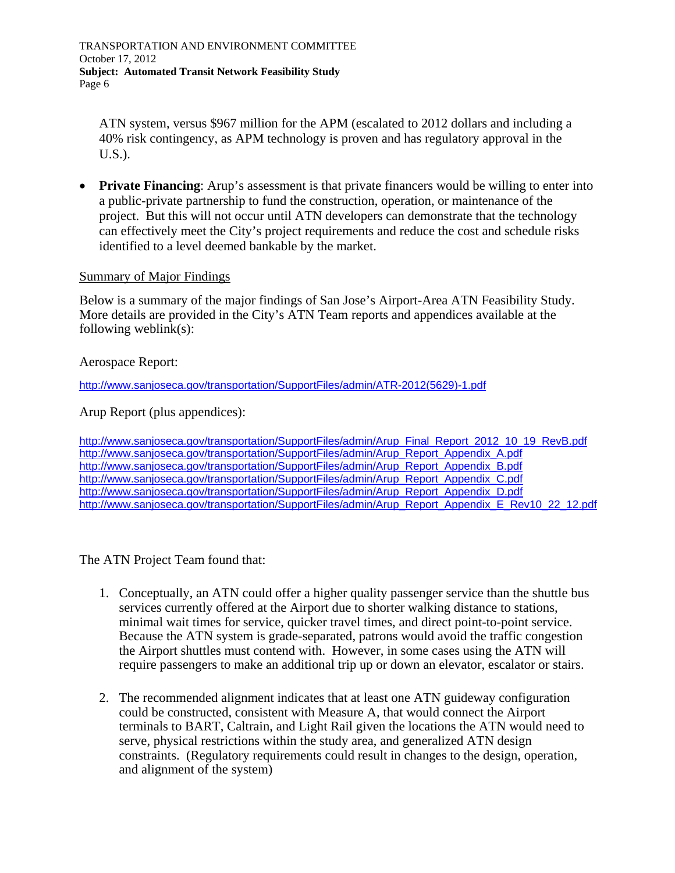ATN system, versus \$967 million for the APM (escalated to 2012 dollars and including a 40% risk contingency, as APM technology is proven and has regulatory approval in the U.S.).

**Private Financing**: Arup's assessment is that private financers would be willing to enter into a public-private partnership to fund the construction, operation, or maintenance of the project. But this will not occur until ATN developers can demonstrate that the technology can effectively meet the City's project requirements and reduce the cost and schedule risks identified to a level deemed bankable by the market.

### Summary of Major Findings

Below is a summary of the major findings of San Jose's Airport-Area ATN Feasibility Study. More details are provided in the City's ATN Team reports and appendices available at the following weblink(s):

#### Aerospace Report:

[http://www.sanjoseca.gov/transportation/SupportFiles/admin/ATR-2012\(5629\)-1.pdf](http://www.sanjoseca.gov/transportation/SupportFiles/admin/ATR-2012(5629)-1.pdf)

Arup Report (plus appendices):

[http://www.sanjoseca.gov/transportation/SupportFiles/admin/Arup\\_Final\\_Report\\_2012\\_10\\_19\\_RevB.pdf](http://www.sanjoseca.gov/transportation/SupportFiles/admin/Arup_Final_Report_2012_10_19_RevB.pdf) [http://www.sanjoseca.gov/transportation/SupportFiles/admin/Arup\\_Report\\_Appendix\\_A.pdf](http://www.sanjoseca.gov/transportation/SupportFiles/admin/Arup_Report_Appendix_A.pdf) [http://www.sanjoseca.gov/transportation/SupportFiles/admin/Arup\\_Report\\_Appendix\\_B.pdf](http://www.sanjoseca.gov/transportation/SupportFiles/admin/Arup_Report_Appendix_B.pdf) [http://www.sanjoseca.gov/transportation/SupportFiles/admin/Arup\\_Report\\_Appendix\\_C.pdf](http://www.sanjoseca.gov/transportation/SupportFiles/admin/Arup_Report_Appendix_C.pdf) [http://www.sanjoseca.gov/transportation/SupportFiles/admin/Arup\\_Report\\_Appendix\\_D.pdf](http://www.sanjoseca.gov/transportation/SupportFiles/admin/Arup_Report_Appendix_D.pdf) [http://www.sanjoseca.gov/transportation/SupportFiles/admin/Arup\\_Report\\_Appendix\\_E\\_Rev10\\_22\\_12.pdf](http://www.sanjoseca.gov/transportation/SupportFiles/admin/Arup_Report_Appendix_E_Rev10_22_12.pdf)

The ATN Project Team found that:

- 1. Conceptually, an ATN could offer a higher quality passenger service than the shuttle bus services currently offered at the Airport due to shorter walking distance to stations, minimal wait times for service, quicker travel times, and direct point-to-point service. Because the ATN system is grade-separated, patrons would avoid the traffic congestion the Airport shuttles must contend with. However, in some cases using the ATN will require passengers to make an additional trip up or down an elevator, escalator or stairs.
- 2. The recommended alignment indicates that at least one ATN guideway configuration could be constructed, consistent with Measure A, that would connect the Airport terminals to BART, Caltrain, and Light Rail given the locations the ATN would need to serve, physical restrictions within the study area, and generalized ATN design constraints. (Regulatory requirements could result in changes to the design, operation, and alignment of the system)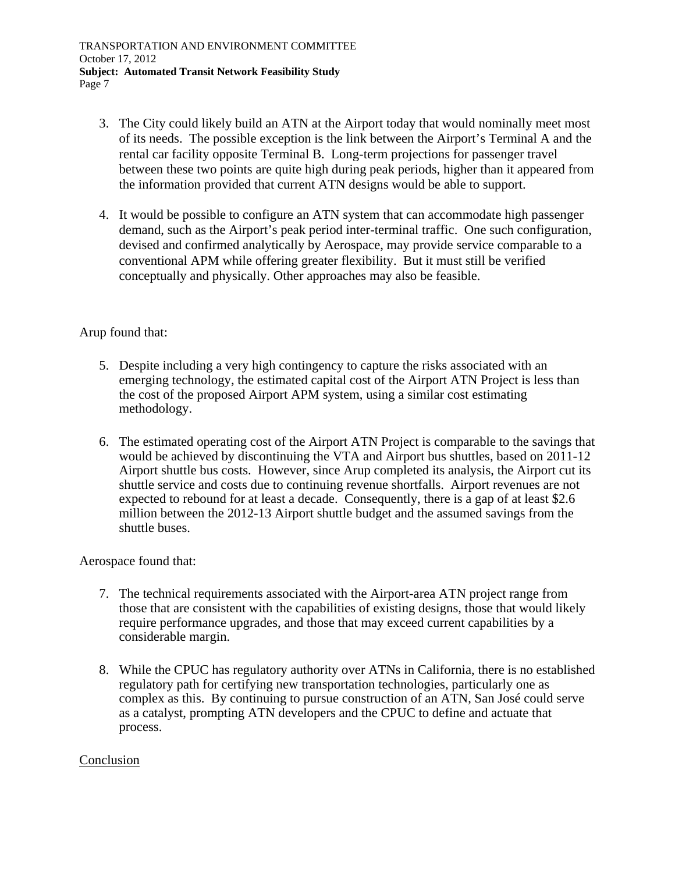- 3. The City could likely build an ATN at the Airport today that would nominally meet most of its needs. The possible exception is the link between the Airport's Terminal A and the rental car facility opposite Terminal B. Long-term projections for passenger travel between these two points are quite high during peak periods, higher than it appeared from the information provided that current ATN designs would be able to support.
- 4. It would be possible to configure an ATN system that can accommodate high passenger demand, such as the Airport's peak period inter-terminal traffic. One such configuration, devised and confirmed analytically by Aerospace, may provide service comparable to a conventional APM while offering greater flexibility. But it must still be verified conceptually and physically. Other approaches may also be feasible.

## Arup found that:

- 5. Despite including a very high contingency to capture the risks associated with an emerging technology, the estimated capital cost of the Airport ATN Project is less than the cost of the proposed Airport APM system, using a similar cost estimating methodology.
- 6. The estimated operating cost of the Airport ATN Project is comparable to the savings that would be achieved by discontinuing the VTA and Airport bus shuttles, based on 2011-12 Airport shuttle bus costs. However, since Arup completed its analysis, the Airport cut its shuttle service and costs due to continuing revenue shortfalls. Airport revenues are not expected to rebound for at least a decade. Consequently, there is a gap of at least \$2.6 million between the 2012-13 Airport shuttle budget and the assumed savings from the shuttle buses.

Aerospace found that:

- 7. The technical requirements associated with the Airport-area ATN project range from those that are consistent with the capabilities of existing designs, those that would likely require performance upgrades, and those that may exceed current capabilities by a considerable margin.
- 8. While the CPUC has regulatory authority over ATNs in California, there is no established regulatory path for certifying new transportation technologies, particularly one as complex as this. By continuing to pursue construction of an ATN, San José could serve as a catalyst, prompting ATN developers and the CPUC to define and actuate that process.

## Conclusion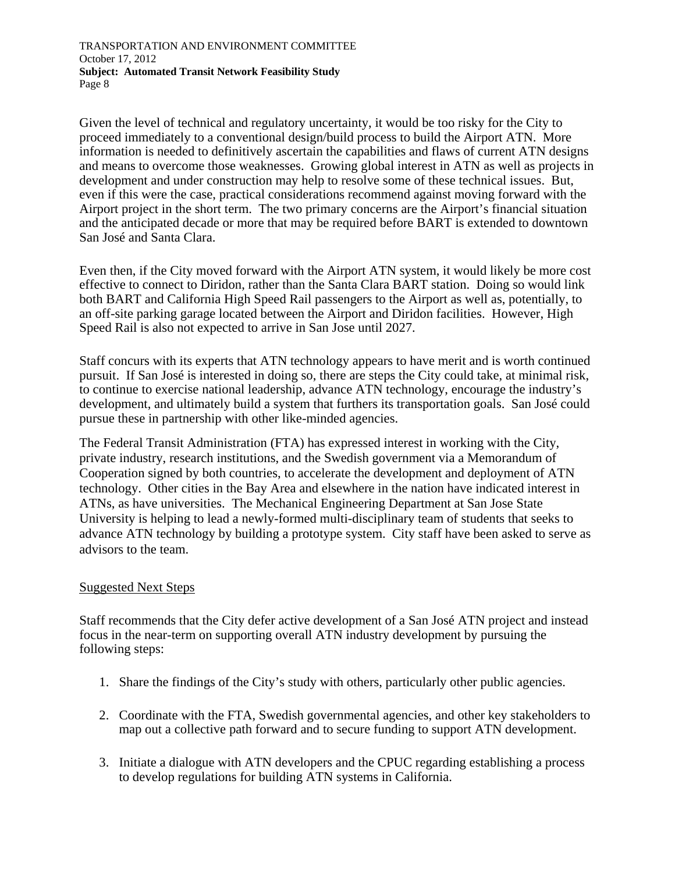Given the level of technical and regulatory uncertainty, it would be too risky for the City to proceed immediately to a conventional design/build process to build the Airport ATN. More information is needed to definitively ascertain the capabilities and flaws of current ATN designs and means to overcome those weaknesses. Growing global interest in ATN as well as projects in development and under construction may help to resolve some of these technical issues. But, even if this were the case, practical considerations recommend against moving forward with the Airport project in the short term. The two primary concerns are the Airport's financial situation and the anticipated decade or more that may be required before BART is extended to downtown San José and Santa Clara.

Even then, if the City moved forward with the Airport ATN system, it would likely be more cost effective to connect to Diridon, rather than the Santa Clara BART station. Doing so would link both BART and California High Speed Rail passengers to the Airport as well as, potentially, to an off-site parking garage located between the Airport and Diridon facilities. However, High Speed Rail is also not expected to arrive in San Jose until 2027.

Staff concurs with its experts that ATN technology appears to have merit and is worth continued pursuit. If San José is interested in doing so, there are steps the City could take, at minimal risk, to continue to exercise national leadership, advance ATN technology, encourage the industry's development, and ultimately build a system that furthers its transportation goals. San José could pursue these in partnership with other like-minded agencies.

The Federal Transit Administration (FTA) has expressed interest in working with the City, private industry, research institutions, and the Swedish government via a Memorandum of Cooperation signed by both countries, to accelerate the development and deployment of ATN technology. Other cities in the Bay Area and elsewhere in the nation have indicated interest in ATNs, as have universities. The Mechanical Engineering Department at San Jose State University is helping to lead a newly-formed multi-disciplinary team of students that seeks to advance ATN technology by building a prototype system. City staff have been asked to serve as advisors to the team.

### Suggested Next Steps

Staff recommends that the City defer active development of a San José ATN project and instead focus in the near-term on supporting overall ATN industry development by pursuing the following steps:

- 1. Share the findings of the City's study with others, particularly other public agencies.
- 2. Coordinate with the FTA, Swedish governmental agencies, and other key stakeholders to map out a collective path forward and to secure funding to support ATN development.
- 3. Initiate a dialogue with ATN developers and the CPUC regarding establishing a process to develop regulations for building ATN systems in California.